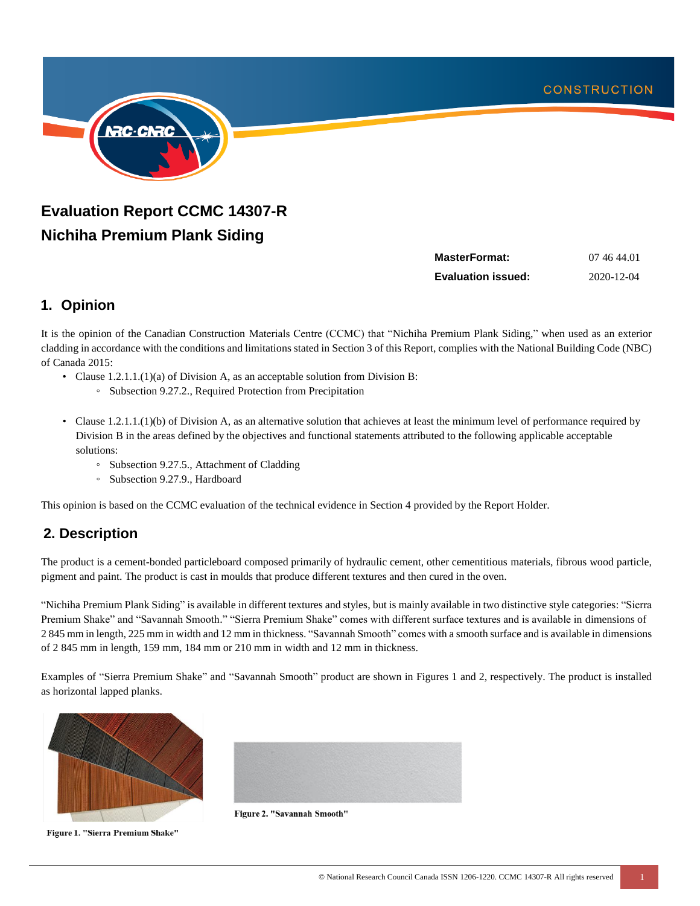

# **Evaluation Report CCMC 14307-R Nichiha Premium Plank Siding**

| MasterFormat:             | 07 46 44.01 |
|---------------------------|-------------|
| <b>Evaluation issued:</b> | 2020-12-04  |

# **1. Opinion**

It is the opinion of the Canadian Construction Materials Centre (CCMC) that "Nichiha Premium Plank Siding," when used as an exterior cladding in accordance with the conditions and limitations stated in Section 3 of this Report, complies with the National Building Code (NBC) of Canada 2015:

- Clause 1.2.1.1.(1)(a) of Division A, as an acceptable solution from Division B:
	- Subsection 9.27.2., Required Protection from Precipitation
- Clause 1.2.1.1.(1)(b) of Division A, as an alternative solution that achieves at least the minimum level of performance required by Division B in the areas defined by the objectives and functional statements attributed to the following applicable acceptable solutions:
	- Subsection 9.27.5., Attachment of Cladding
	- Subsection 9.27.9., Hardboard

This opinion is based on the CCMC evaluation of the technical evidence in Section 4 provided by the Report Holder.

# **2. Description**

The product is a cement-bonded particleboard composed primarily of hydraulic cement, other cementitious materials, fibrous wood particle, pigment and paint. The product is cast in moulds that produce different textures and then cured in the oven.

"Nichiha Premium Plank Siding" is available in different textures and styles, but is mainly available in two distinctive style categories: "Sierra Premium Shake" and "Savannah Smooth." "Sierra Premium Shake" comes with different surface textures and is available in dimensions of 2 845 mm in length, 225 mm in width and 12 mm in thickness. "Savannah Smooth" comes with a smooth surface and is available in dimensions of 2 845 mm in length, 159 mm, 184 mm or 210 mm in width and 12 mm in thickness.

Examples of "Sierra Premium Shake" and "Savannah Smooth" product are shown in Figures 1 and 2, respectively. The product is installed as horizontal lapped planks.



Figure 1. "Sierra Premium Shake"



Figure 2. "Savannah Smooth"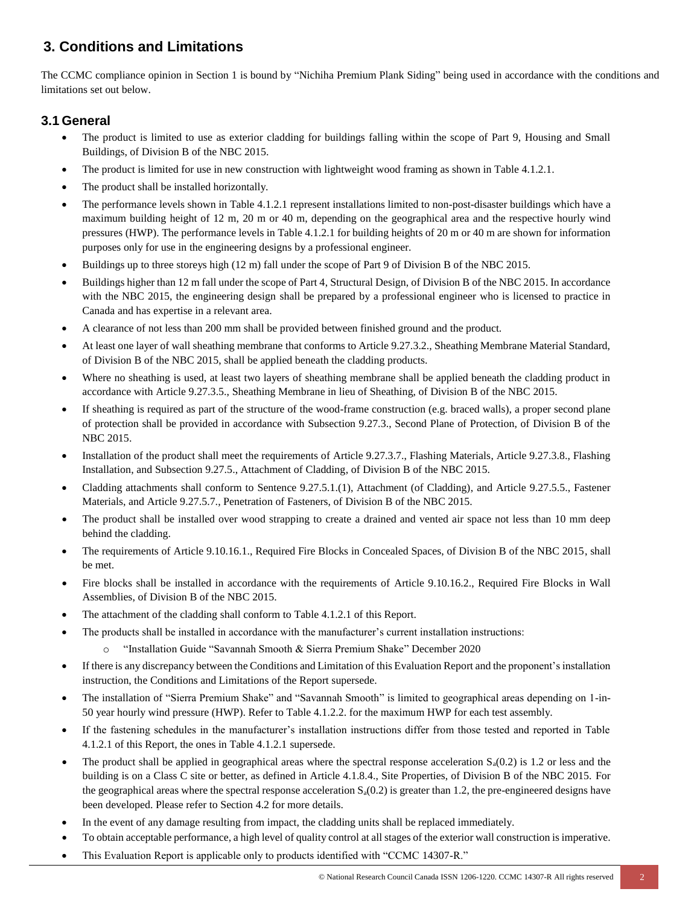# **3. Conditions and Limitations**

The CCMC compliance opinion in Section 1 is bound by "Nichiha Premium Plank Siding" being used in accordance with the conditions and limitations set out below.

## **3.1 General**

- The product is limited to use as exterior cladding for buildings falling within the scope of Part 9, Housing and Small Buildings, of Division B of the NBC 2015.
- The product is limited for use in new construction with lightweight wood framing as shown in Table 4.1.2.1.
- The product shall be installed horizontally.
- The performance levels shown in Table 4.1.2.1 represent installations limited to non-post-disaster buildings which have a maximum building height of 12 m, 20 m or 40 m, depending on the geographical area and the respective hourly wind pressures (HWP). The performance levels in Table 4.1.2.1 for building heights of 20 m or 40 m are shown for information purposes only for use in the engineering designs by a professional engineer.
- Buildings up to three storeys high (12 m) fall under the scope of Part 9 of Division B of the NBC 2015.
- Buildings higher than 12 m fall under the scope of Part 4, Structural Design, of Division B of the NBC 2015. In accordance with the NBC 2015, the engineering design shall be prepared by a professional engineer who is licensed to practice in Canada and has expertise in a relevant area.
- A clearance of not less than 200 mm shall be provided between finished ground and the product.
- At least one layer of wall sheathing membrane that conforms to Article 9.27.3.2., Sheathing Membrane Material Standard, of Division B of the NBC 2015, shall be applied beneath the cladding products.
- Where no sheathing is used, at least two layers of sheathing membrane shall be applied beneath the cladding product in accordance with Article 9.27.3.5., Sheathing Membrane in lieu of Sheathing, of Division B of the NBC 2015.
- If sheathing is required as part of the structure of the wood-frame construction (e.g. braced walls), a proper second plane of protection shall be provided in accordance with Subsection 9.27.3., Second Plane of Protection, of Division B of the NBC 2015.
- Installation of the product shall meet the requirements of Article 9.27.3.7., Flashing Materials, Article 9.27.3.8., Flashing Installation, and Subsection 9.27.5., Attachment of Cladding, of Division B of the NBC 2015.
- Cladding attachments shall conform to Sentence 9.27.5.1.(1), Attachment (of Cladding), and Article 9.27.5.5., Fastener Materials, and Article 9.27.5.7., Penetration of Fasteners, of Division B of the NBC 2015.
- The product shall be installed over wood strapping to create a drained and vented air space not less than 10 mm deep behind the cladding.
- The requirements of Article 9.10.16.1., Required Fire Blocks in Concealed Spaces, of Division B of the NBC 2015, shall be met.
- Fire blocks shall be installed in accordance with the requirements of Article 9.10.16.2., Required Fire Blocks in Wall Assemblies, of Division B of the NBC 2015.
- The attachment of the cladding shall conform to Table 4.1.2.1 of this Report.
- The products shall be installed in accordance with the manufacturer's current installation instructions:
	- "Installation Guide "Savannah Smooth & Sierra Premium Shake" December 2020
- If there is any discrepancy between the Conditions and Limitation of this Evaluation Report and the proponent's installation instruction, the Conditions and Limitations of the Report supersede.
- The installation of "Sierra Premium Shake" and "Savannah Smooth" is limited to geographical areas depending on 1-in-50 year hourly wind pressure (HWP). Refer to Table 4.1.2.2. for the maximum HWP for each test assembly.
- If the fastening schedules in the manufacturer's installation instructions differ from those tested and reported in Table 4.1.2.1 of this Report, the ones in Table 4.1.2.1 supersede.
- The product shall be applied in geographical areas where the spectral response acceleration  $S_a(0.2)$  is 1.2 or less and the building is on a Class C site or better, as defined in Article 4.1.8.4., Site Properties, of Division B of the NBC 2015. For the geographical areas where the spectral response acceleration  $S<sub>a</sub>(0.2)$  is greater than 1.2, the pre-engineered designs have been developed. Please refer to Section 4.2 for more details.
- In the event of any damage resulting from impact, the cladding units shall be replaced immediately.
- To obtain acceptable performance, a high level of quality control at all stages of the exterior wall construction is imperative.
- This Evaluation Report is applicable only to products identified with "CCMC 14307-R."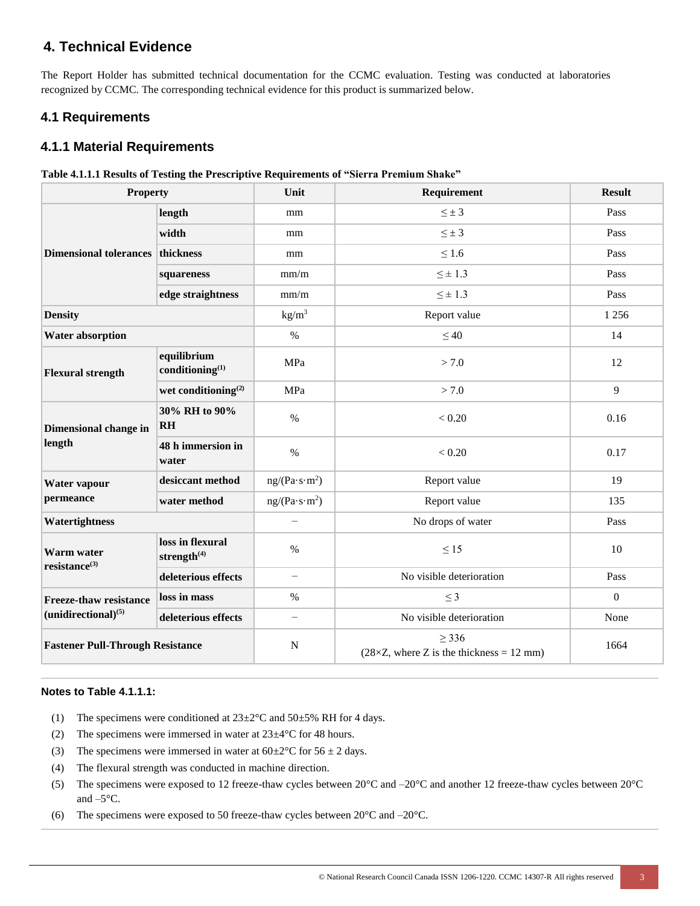# **4. Technical Evidence**

The Report Holder has submitted technical documentation for the CCMC evaluation. Testing was conducted at laboratories recognized by CCMC. The corresponding technical evidence for this product is summarized below.

### **4.1 Requirements**

### **4.1.1 Material Requirements**

|  |  |  | Table 4.1.1.1 Results of Testing the Prescriptive Requirements of "Sierra Premium Shake" |  |  |
|--|--|--|------------------------------------------------------------------------------------------|--|--|
|  |  |  |                                                                                          |  |  |

| <b>Property</b>                         |                                      | Unit                      | Requirement                                               | <b>Result</b> |
|-----------------------------------------|--------------------------------------|---------------------------|-----------------------------------------------------------|---------------|
|                                         | length                               | mm                        | $\leq \pm 3$                                              | Pass          |
|                                         | width                                | mm                        | $\leq \pm 3$                                              | Pass          |
| Dimensional tolerances thickness        |                                      | mm                        | $\leq 1.6$                                                | Pass          |
|                                         | squareness                           | mm/m                      | $\leq \pm 1.3$                                            | Pass          |
|                                         | edge straightness                    | mm/m                      | $\leq \pm 1.3$                                            | Pass          |
| <b>Density</b>                          |                                      | kg/m <sup>3</sup>         | Report value                                              | 1 2 5 6       |
| <b>Water absorption</b>                 |                                      | $\%$                      | $\leq 40$                                                 | 14            |
| <b>Flexural strength</b>                | equilibrium<br>conditioning $^{(1)}$ | MPa                       | > 7.0                                                     | 12            |
|                                         | wet conditioning $^{(2)}$            | MPa                       | > 7.0                                                     | 9             |
| Dimensional change in<br>length         | 30% RH to 90%<br>RH                  | $\%$                      | < 0.20                                                    | 0.16          |
|                                         | 48 h immersion in<br>water           | $\%$                      | < 0.20                                                    | 0.17          |
| Water vapour                            | desiccant method                     | ng/(Pa·s·m <sup>2</sup> ) | Report value                                              | 19            |
| permeance                               | water method                         | ng/(Pa·s·m <sup>2</sup> ) | Report value                                              | 135           |
| Watertightness                          |                                      | $\overline{\phantom{0}}$  | No drops of water                                         | Pass          |
| Warm water<br>$resistance^{(3)}$        | loss in flexural<br>strength $(4)$   | $\%$                      | $\leq 15$                                                 | 10            |
|                                         | deleterious effects                  | $\overline{\phantom{0}}$  | No visible deterioration                                  | Pass          |
| <b>Freeze-thaw resistance</b>           | loss in mass                         | $\%$                      | $\leq$ 3                                                  | $\mathbf{0}$  |
| $(unidirectional)^{(5)}$                | deleterious effects                  | $\overline{\phantom{0}}$  | No visible deterioration                                  | None          |
| <b>Fastener Pull-Through Resistance</b> |                                      | $\mathbf N$               | > 336<br>$(28\times Z,$ where Z is the thickness = 12 mm) | 1664          |

#### **Notes to Table 4.1.1.1:**

- (1) The specimens were conditioned at  $23\pm2\degree$ C and  $50\pm5\%$  RH for 4 days.
- (2) The specimens were immersed in water at 23±4°C for 48 hours.
- (3) The specimens were immersed in water at  $60\pm2\degree C$  for  $56\pm2$  days.
- (4) The flexural strength was conducted in machine direction.
- (5) The specimens were exposed to 12 freeze-thaw cycles between  $20^{\circ}$ C and  $-20^{\circ}$ C and another 12 freeze-thaw cycles between  $20^{\circ}$ C and –5°C.
- (6) The specimens were exposed to 50 freeze-thaw cycles between 20°C and –20°C.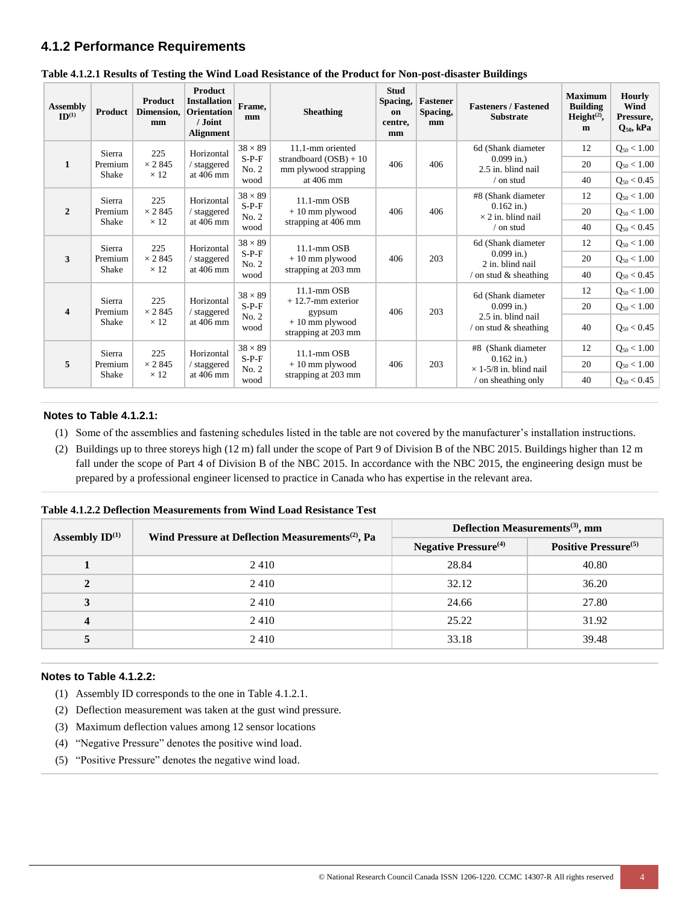### **4.1.2 Performance Requirements**

| <b>Assembly</b><br>ID <sup>(1)</sup> | Product                                         | Product<br>Dimension.<br>mm                                                                                                            | <b>Product</b><br><b>Installation</b><br><b>Orientation</b><br>/ Joint<br><b>Alignment</b> | Frame.<br>mm                       | <b>Sheathing</b>                                                          | <b>Stud</b><br>Spacing,<br>on<br>centre,<br>mm | <b>Fastener</b><br>Spacing,<br>mm | <b>Fasteners / Fastened</b><br><b>Substrate</b>                         | <b>Maximum</b><br><b>Building</b><br>Height $(2)$ ,<br>m | <b>Hourly</b><br>Wind<br>Pressure,<br>$Q_{50}$ , kPa |                    |    |                 |  |           |      |                     |  |  |
|--------------------------------------|-------------------------------------------------|----------------------------------------------------------------------------------------------------------------------------------------|--------------------------------------------------------------------------------------------|------------------------------------|---------------------------------------------------------------------------|------------------------------------------------|-----------------------------------|-------------------------------------------------------------------------|----------------------------------------------------------|------------------------------------------------------|--------------------|----|-----------------|--|-----------|------|---------------------|--|--|
|                                      | Sierra                                          | 225                                                                                                                                    | Horizontal                                                                                 | $38 \times 89$                     | 11.1-mm oriented                                                          |                                                |                                   | 6d (Shank diameter                                                      | 12                                                       | $Q_{50}$ < 1.00                                      |                    |    |                 |  |           |      |                     |  |  |
| $\mathbf{1}$                         | Premium<br>Shake                                | $\times$ 2845<br>$\times$ 12                                                                                                           | / staggered                                                                                | $S-P-F$<br>No. 2                   | strandboard $(OSB) + 10$<br>mm plywood strapping                          | 406                                            | 406                               | $0.099$ in.)<br>2.5 in. blind nail                                      | 20                                                       | $Q_{50}$ < 1.00                                      |                    |    |                 |  |           |      |                     |  |  |
|                                      |                                                 |                                                                                                                                        | at 406 mm                                                                                  | wood                               | at $406$ mm                                                               |                                                |                                   | $/$ on stud                                                             | 40                                                       | $Q_{50}$ < 0.45                                      |                    |    |                 |  |           |      |                     |  |  |
|                                      | Sierra                                          | 225                                                                                                                                    | Horizontal                                                                                 | $38 \times 89$                     | $11.1$ -mm $OSB$                                                          |                                                |                                   | #8 (Shank diameter                                                      | 12                                                       | $Q_{50} < 1.00$                                      |                    |    |                 |  |           |      |                     |  |  |
| $\mathbf{2}$                         | Premium                                         | $\times$ 2845<br>$+10$ mm plywood<br>406<br>/ staggered<br>No. 2<br>$\times$ 12<br>at $406$ mm<br>strapping at 406 mm<br>Shake<br>wood |                                                                                            | $S-P-F$                            |                                                                           |                                                | 406                               | $0.162$ in.)<br>$\times$ 2 in. blind nail                               | 20                                                       | $Q_{50} < 1.00$                                      |                    |    |                 |  |           |      |                     |  |  |
|                                      |                                                 |                                                                                                                                        |                                                                                            | $/$ on stud                        | 40                                                                        | $Q_{50}$ < 0.45                                |                                   |                                                                         |                                                          |                                                      |                    |    |                 |  |           |      |                     |  |  |
|                                      | Sierra<br>225<br>3<br>$\times$ 2 845<br>Premium |                                                                                                                                        | Horizontal                                                                                 | $38 \times 89$                     | $11.1$ -mm $OSB$                                                          |                                                |                                   | 6d (Shank diameter                                                      | 12                                                       | $Q_{50} < 1.00$                                      |                    |    |                 |  |           |      |                     |  |  |
| Shake                                |                                                 | / staggered                                                                                                                            | $S-P-F$<br>No. 2                                                                           | $+10$ mm plywood                   | 406                                                                       | 203                                            | $0.099$ in.)<br>2 in. blind nail  | 20                                                                      | $Q_{50} < 1.00$                                          |                                                      |                    |    |                 |  |           |      |                     |  |  |
|                                      |                                                 | $\times$ 12                                                                                                                            | at 406 mm                                                                                  | wood                               | strapping at 203 mm                                                       |                                                |                                   | $\frac{1}{2}$ on stud & sheathing                                       | 40                                                       | $Q_{50}$ < 0.45                                      |                    |    |                 |  |           |      |                     |  |  |
|                                      | Sierra                                          | 225<br>$\times$ 2845<br>Premium<br>$\times$ 12<br>Shake                                                                                |                                                                                            |                                    |                                                                           |                                                | $38 \times 89$                    | $11.1$ -mm $OSB$                                                        |                                                          |                                                      | 6d (Shank diameter | 12 | $Q_{50} < 1.00$ |  |           |      |                     |  |  |
| $\overline{\mathbf{4}}$              |                                                 |                                                                                                                                        | Horizontal<br>/ staggered<br>at 406 mm                                                     | $S-P-F$<br>No. 2<br>wood           | $+12.7$ -mm exterior<br>gypsum<br>$+10$ mm plywood<br>strapping at 203 mm | 406                                            | 203                               | $0.099$ in.)<br>2.5 in. blind nail<br>$\frac{1}{2}$ on stud & sheathing | 20                                                       | $Q_{50} < 1.00$                                      |                    |    |                 |  |           |      |                     |  |  |
|                                      |                                                 |                                                                                                                                        |                                                                                            |                                    |                                                                           |                                                |                                   |                                                                         | 40                                                       | $Q_{50}$ < 0.45                                      |                    |    |                 |  |           |      |                     |  |  |
|                                      | Sierra                                          | 225<br>$\times$ 2 845<br>$\times$ 12                                                                                                   | Horizontal<br>/ staggered                                                                  | $38 \times 89$<br>$S-P-F$<br>No. 2 | $11.1$ -mm $OSB$<br>$+10$ mm plywood                                      | 406                                            |                                   | #8 (Shank diameter<br>$0.162$ in.)<br>$\times$ 1-5/8 in. blind nail     | 12                                                       | $Q_{50}$ < 1.00                                      |                    |    |                 |  |           |      |                     |  |  |
| 5                                    | Premium<br>Shake                                |                                                                                                                                        |                                                                                            |                                    |                                                                           |                                                | 203                               |                                                                         | 20                                                       | $Q_{50} < 1.00$                                      |                    |    |                 |  |           |      |                     |  |  |
|                                      |                                                 |                                                                                                                                        |                                                                                            |                                    |                                                                           |                                                |                                   |                                                                         |                                                          |                                                      |                    |    |                 |  | at 406 mm | wood | strapping at 203 mm |  |  |

**Table 4.1.2.1 Results of Testing the Wind Load Resistance of the Product for Non-post-disaster Buildings**

#### **Notes to Table 4.1.2.1:**

- (1) Some of the assemblies and fastening schedules listed in the table are not covered by the manufacturer's installation instructions.
- (2) Buildings up to three storeys high (12 m) fall under the scope of Part 9 of Division B of the NBC 2015. Buildings higher than 12 m fall under the scope of Part 4 of Division B of the NBC 2015. In accordance with the NBC 2015, the engineering design must be prepared by a professional engineer licensed to practice in Canada who has expertise in the relevant area.

| Assembly $ID^{(1)}$ | Wind Pressure at Deflection Measurements <sup>(2)</sup> , Pa | Deflection Measurements <sup>(3)</sup> , mm |                                  |  |  |
|---------------------|--------------------------------------------------------------|---------------------------------------------|----------------------------------|--|--|
|                     |                                                              | <b>Negative Pressure</b> <sup>(4)</sup>     | Positive Pressure <sup>(5)</sup> |  |  |
|                     | 2410                                                         | 28.84                                       | 40.80                            |  |  |
|                     | 2410                                                         | 32.12                                       | 36.20                            |  |  |
| 3                   | 2410                                                         | 24.66                                       | 27.80                            |  |  |
|                     | 2410                                                         | 25.22                                       | 31.92                            |  |  |
|                     | 2410                                                         | 33.18                                       | 39.48                            |  |  |

#### **Notes to Table 4.1.2.2:**

- (1) Assembly ID corresponds to the one in Table 4.1.2.1.
- (2) Deflection measurement was taken at the gust wind pressure.
- (3) Maximum deflection values among 12 sensor locations
- (4) "Negative Pressure" denotes the positive wind load.
- (5) "Positive Pressure" denotes the negative wind load.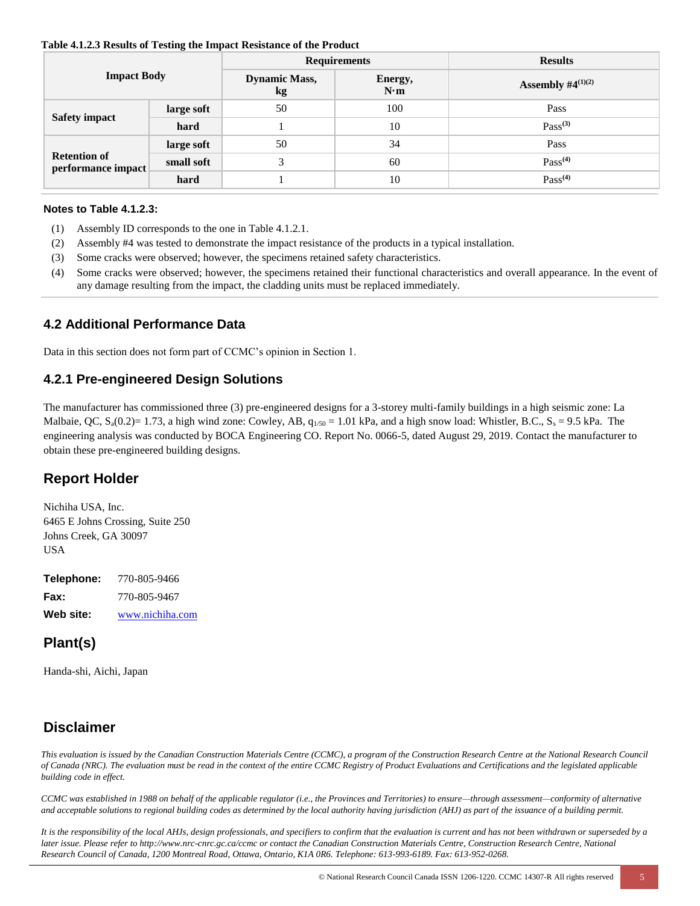#### **Table 4.1.2.3 Results of Testing the Impact Resistance of the Product**

| <b>Impact Body</b>                        |            |                            | <b>Requirements</b> | <b>Results</b>          |  |  |
|-------------------------------------------|------------|----------------------------|---------------------|-------------------------|--|--|
|                                           |            | <b>Dynamic Mass,</b><br>kg | Energy,<br>N·m      | Assembly $\#4^{(1)(2)}$ |  |  |
| Safety impact                             | large soft | 50                         | 100                 | Pass                    |  |  |
|                                           | hard       |                            | 10                  | $Pass^{(3)}$            |  |  |
| <b>Retention of</b><br>performance impact | large soft | 50                         | 34                  | Pass                    |  |  |
|                                           | small soft | 3                          | 60                  | Pass <sup>(4)</sup>     |  |  |
|                                           | hard       |                            | 10                  | Pass <sup>(4)</sup>     |  |  |

#### **Notes to Table 4.1.2.3:**

- (1) Assembly ID corresponds to the one in Table 4.1.2.1.
- (2) Assembly #4 was tested to demonstrate the impact resistance of the products in a typical installation.
- (3) Some cracks were observed; however, the specimens retained safety characteristics.
- (4) Some cracks were observed; however, the specimens retained their functional characteristics and overall appearance. In the event of any damage resulting from the impact, the cladding units must be replaced immediately.

#### **4.2 Additional Performance Data**

Data in this section does not form part of CCMC's opinion in Section 1.

#### **4.2.1 Pre-engineered Design Solutions**

The manufacturer has commissioned three (3) pre-engineered designs for a 3-storey multi-family buildings in a high seismic zone: La Malbaie, QC,  $S_4(0.2)=1.73$ , a high wind zone: Cowley, AB,  $q_{1/50} = 1.01$  kPa, and a high snow load: Whistler, B.C.,  $S_5 = 9.5$  kPa. The engineering analysis was conducted by BOCA Engineering CO. Report No. 0066-5, dated August 29, 2019. Contact the manufacturer to obtain these pre-engineered building designs.

### **Report Holder**

Nichiha USA, Inc. 6465 E Johns Crossing, Suite 250 Johns Creek, GA 30097 USA

**Telephone:** 770-805-9466 **Fax:** 770-805-9467 **Web site:** [www.nichiha.com](http://www.nichiha.com/)

# **Plant(s)**

Handa-shi, Aichi, Japan

### **Disclaimer**

*This evaluation is issued by the Canadian Construction Materials Centre (CCMC), a program of the Construction Research Centre at the National Research Council of Canada (NRC). The evaluation must be read in the context of the entire CCMC Registry of Product Evaluations and Certifications and the legislated applicable building code in effect.* 

*CCMC was established in 1988 on behalf of the applicable regulator (i.e., the Provinces and Territories) to ensure—through assessment—conformity of alternative and acceptable solutions to regional building codes as determined by the local authority having jurisdiction (AHJ) as part of the issuance of a building permit.* 

*It is the responsibility of the local AHJs, design professionals, and specifiers to confirm that the evaluation is current and has not been withdrawn or superseded by a later issue. Please refer to http://www.nrc-cnrc.gc.ca/ccmc or contact the Canadian Construction Materials Centre, Construction Research Centre, National Research Council of Canada, 1200 Montreal Road, Ottawa, Ontario, K1A 0R6. Telephone: 613-993-6189. Fax: 613-952-0268.*